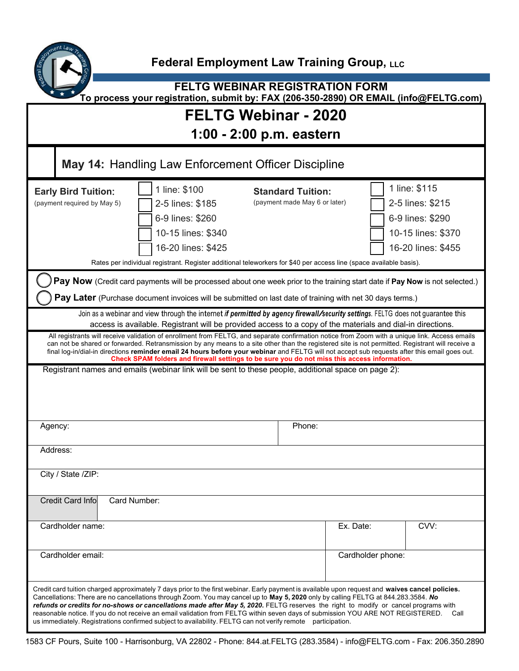

**FELTG WEBINAR REGISTRATION FORM To process your registration, submit by: FAX (206-350-2890) OR EMAIL (info@FELTG.com)**

## **FELTG Webinar - 2020**

**1:00 - 2:00 p.m. eastern**

| May 14: Handling Law Enforcement Officer Discipline                                                                                                                                                                                                                                                                                                                                                                                                                                                                                                                                                                                                                                     |                                                                                                                                                                                                                         |                                                           |                   |                                                                                                   |
|-----------------------------------------------------------------------------------------------------------------------------------------------------------------------------------------------------------------------------------------------------------------------------------------------------------------------------------------------------------------------------------------------------------------------------------------------------------------------------------------------------------------------------------------------------------------------------------------------------------------------------------------------------------------------------------------|-------------------------------------------------------------------------------------------------------------------------------------------------------------------------------------------------------------------------|-----------------------------------------------------------|-------------------|---------------------------------------------------------------------------------------------------|
| <b>Early Bird Tuition:</b><br>(payment required by May 5)                                                                                                                                                                                                                                                                                                                                                                                                                                                                                                                                                                                                                               | 1 line: \$100<br>2-5 lines: \$185<br>6-9 lines: \$260<br>10-15 lines: \$340<br>16-20 lines: \$425<br>Rates per individual registrant. Register additional teleworkers for \$40 per access line (space available basis). | <b>Standard Tuition:</b><br>(payment made May 6 or later) |                   | 1 line: \$115<br>2-5 lines: \$215<br>6-9 lines: \$290<br>10-15 lines: \$370<br>16-20 lines: \$455 |
| Pay Now (Credit card payments will be processed about one week prior to the training start date if Pay Now is not selected.)<br>Pay Later (Purchase document invoices will be submitted on last date of training with net 30 days terms.)                                                                                                                                                                                                                                                                                                                                                                                                                                               |                                                                                                                                                                                                                         |                                                           |                   |                                                                                                   |
| Join as a webinar and view through the internet if permitted by agency firewall/security settings. FELTG does not guarantee this<br>access is available. Registrant will be provided access to a copy of the materials and dial-in directions.                                                                                                                                                                                                                                                                                                                                                                                                                                          |                                                                                                                                                                                                                         |                                                           |                   |                                                                                                   |
| All registrants will receive validation of enrollment from FELTG, and separate confirmation notice from Zoom with a unique link. Access emails<br>can not be shared or forwarded. Retransmission by any means to a site other than the registered site is not permitted. Registrant will receive a<br>final log-in/dial-in directions reminder email 24 hours before your webinar and FELTG will not accept sub requests after this email goes out.<br>Check SPAM folders and firewall settings to be sure you do not miss this access information.                                                                                                                                     |                                                                                                                                                                                                                         |                                                           |                   |                                                                                                   |
| Registrant names and emails (webinar link will be sent to these people, additional space on page 2):                                                                                                                                                                                                                                                                                                                                                                                                                                                                                                                                                                                    |                                                                                                                                                                                                                         |                                                           |                   |                                                                                                   |
| Agency:                                                                                                                                                                                                                                                                                                                                                                                                                                                                                                                                                                                                                                                                                 |                                                                                                                                                                                                                         | Phone:                                                    |                   |                                                                                                   |
| Address:                                                                                                                                                                                                                                                                                                                                                                                                                                                                                                                                                                                                                                                                                |                                                                                                                                                                                                                         |                                                           |                   |                                                                                                   |
| City / State /ZIP:                                                                                                                                                                                                                                                                                                                                                                                                                                                                                                                                                                                                                                                                      |                                                                                                                                                                                                                         |                                                           |                   |                                                                                                   |
| <b>Credit Card Info</b><br>Card Number:                                                                                                                                                                                                                                                                                                                                                                                                                                                                                                                                                                                                                                                 |                                                                                                                                                                                                                         |                                                           |                   |                                                                                                   |
| Cardholder name:                                                                                                                                                                                                                                                                                                                                                                                                                                                                                                                                                                                                                                                                        |                                                                                                                                                                                                                         |                                                           | Ex. Date:         | CVV:                                                                                              |
| Cardholder email:                                                                                                                                                                                                                                                                                                                                                                                                                                                                                                                                                                                                                                                                       |                                                                                                                                                                                                                         |                                                           | Cardholder phone: |                                                                                                   |
| Credit card tuition charged approximately 7 days prior to the first webinar. Early payment is available upon request and waives cancel policies.<br>Cancellations: There are no cancellations through Zoom. You may cancel up to May 5, 2020 only by calling FELTG at 844.283.3584. No<br>refunds or credits for no-shows or cancellations made after May 5, 2020. FELTG reserves the right to modify or cancel programs with<br>reasonable notice. If you do not receive an email validation from FELTG within seven days of submission YOU ARE NOT REGISTERED.<br>Call<br>us immediately. Registrations confirmed subject to availability. FELTG can not verify remote participation. |                                                                                                                                                                                                                         |                                                           |                   |                                                                                                   |